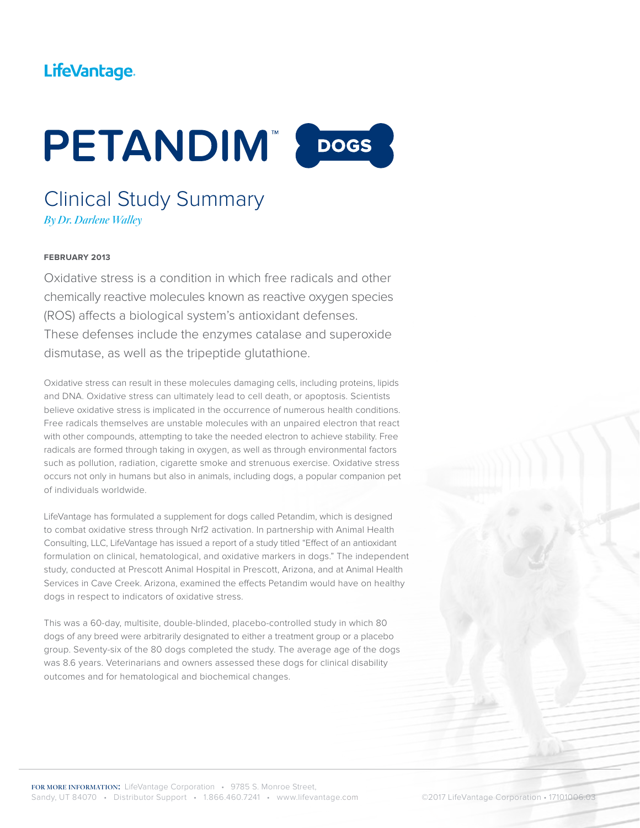# LifeVantage.



## Clinical Study Summary *By Dr. Darlene Walley*

#### **FEBRUARY 2013**

Oxidative stress is a condition in which free radicals and other chemically reactive molecules known as reactive oxygen species (ROS) affects a biological system's antioxidant defenses. These defenses include the enzymes catalase and superoxide dismutase, as well as the tripeptide glutathione.

Oxidative stress can result in these molecules damaging cells, including proteins, lipids and DNA. Oxidative stress can ultimately lead to cell death, or apoptosis. Scientists believe oxidative stress is implicated in the occurrence of numerous health conditions. Free radicals themselves are unstable molecules with an unpaired electron that react with other compounds, attempting to take the needed electron to achieve stability. Free radicals are formed through taking in oxygen, as well as through environmental factors such as pollution, radiation, cigarette smoke and strenuous exercise. Oxidative stress occurs not only in humans but also in animals, including dogs, a popular companion pet of individuals worldwide.

LifeVantage has formulated a supplement for dogs called Petandim, which is designed to combat oxidative stress through Nrf2 activation. In partnership with Animal Health Consulting, LLC, LifeVantage has issued a report of a study titled "Effect of an antioxidant formulation on clinical, hematological, and oxidative markers in dogs." The independent study, conducted at Prescott Animal Hospital in Prescott, Arizona, and at Animal Health Services in Cave Creek. Arizona, examined the effects Petandim would have on healthy dogs in respect to indicators of oxidative stress.

This was a 60-day, multisite, double-blinded, placebo-controlled study in which 80 dogs of any breed were arbitrarily designated to either a treatment group or a placebo group. Seventy-six of the 80 dogs completed the study. The average age of the dogs was 8.6 years. Veterinarians and owners assessed these dogs for clinical disability outcomes and for hematological and biochemical changes.